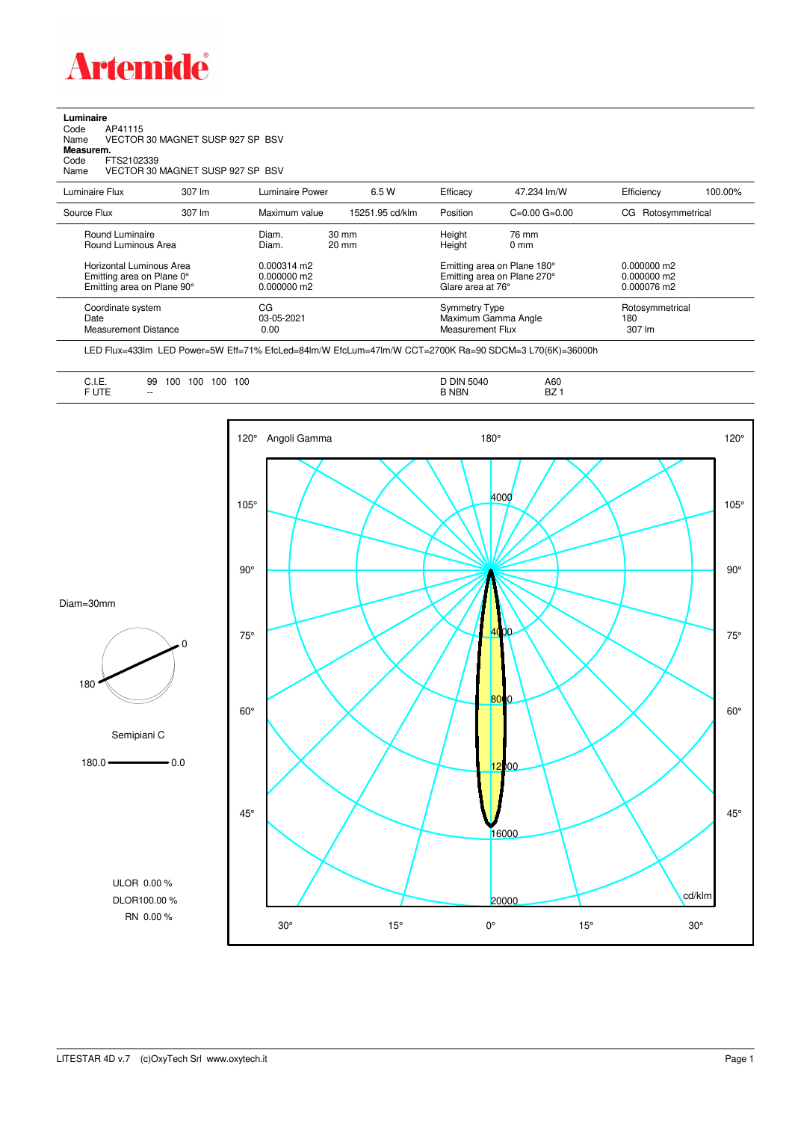

## **Luminaire**<br>Code /<br>Name \ Code AP41115 Name VECTOR 30 MAGNET SUSP 927 SP BSV **Measurem.** Code FTS2102339 Name VECTOR 30 MAGNET SUSP 927 SP BSV

| Luminaire Flux                                                                                                                | 307 lm | Luminaire Power                                                          | 6.5 W                              | Efficacy | 47.234 lm/W                                                                                                                    | Efficiency             | 100.00%         |
|-------------------------------------------------------------------------------------------------------------------------------|--------|--------------------------------------------------------------------------|------------------------------------|----------|--------------------------------------------------------------------------------------------------------------------------------|------------------------|-----------------|
| Source Flux                                                                                                                   | 307 lm | Maximum value                                                            | 15251.95 cd/klm                    | Position | $C=0.00$ $G=0.00$                                                                                                              | Rotosymmetrical<br>CG. |                 |
| Round Luminaire<br>Round Luminous Area<br>Horizontal Luminous Area<br>Emitting area on Plane 0°<br>Emitting area on Plane 90° |        | Diam.<br>Diam.<br>$0.000314 \text{ m}$<br>$0.000000$ m2<br>$0.000000$ m2 | $30 \text{ mm}$<br>$20 \text{ mm}$ |          | Height<br>76 mm<br>Height<br>$0 \text{ mm}$<br>Emitting area on Plane 180°<br>Emitting area on Plane 270°<br>Glare area at 76° |                        |                 |
| Coordinate system<br>Date<br><b>Measurement Distance</b>                                                                      |        | CG<br>03-05-2021<br>0.00                                                 |                                    |          | <b>Symmetry Type</b><br>Maximum Gamma Angle<br>Measurement Flux                                                                |                        | Rotosymmetrical |

LED Flux=433lm LED Power=5W Eff=71% EfcLed=84lm/W EfcLum=47lm/W CCT=2700K Ra=90 SDCM=3 L70(6K)=36000h